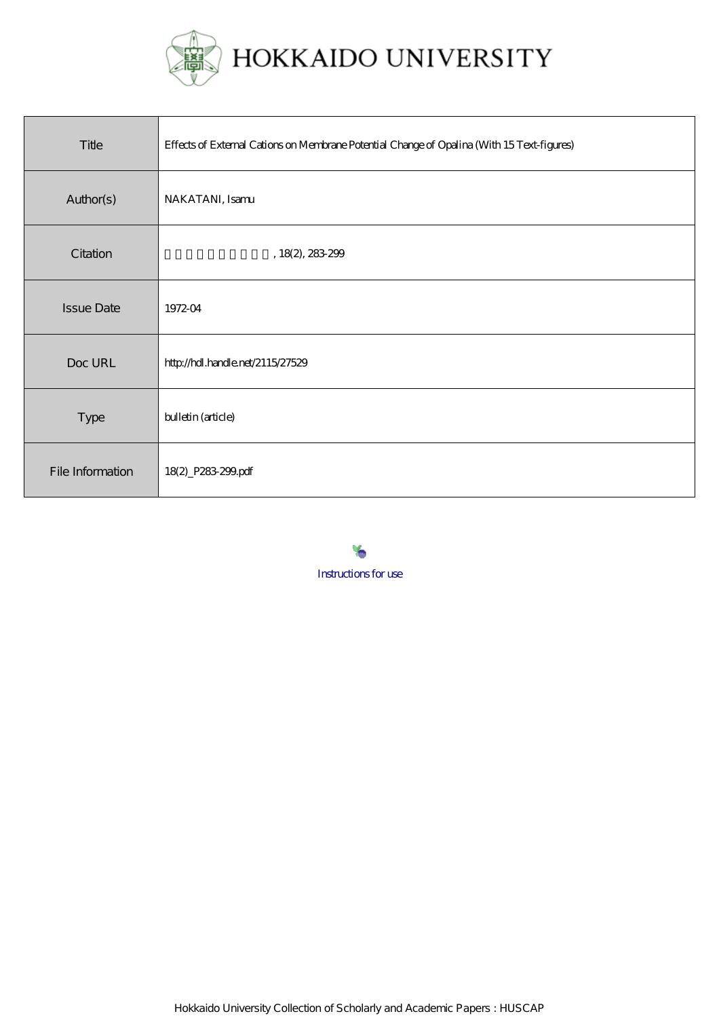

| Title             | Effects of External Cations on Membrane Potential Change of Opalina (With 15 Text-figures) |
|-------------------|--------------------------------------------------------------------------------------------|
| Author(s)         | NAKATANI, Isamu                                                                            |
| Citation          | , 18(2), 283299                                                                            |
| <b>Issue Date</b> | 1972-04                                                                                    |
| Doc URL           | http://hdl.handle.net/2115/27529                                                           |
| <b>Type</b>       | bulletin (article)                                                                         |
| File Information  | 18(2) P283 299 pdf                                                                         |

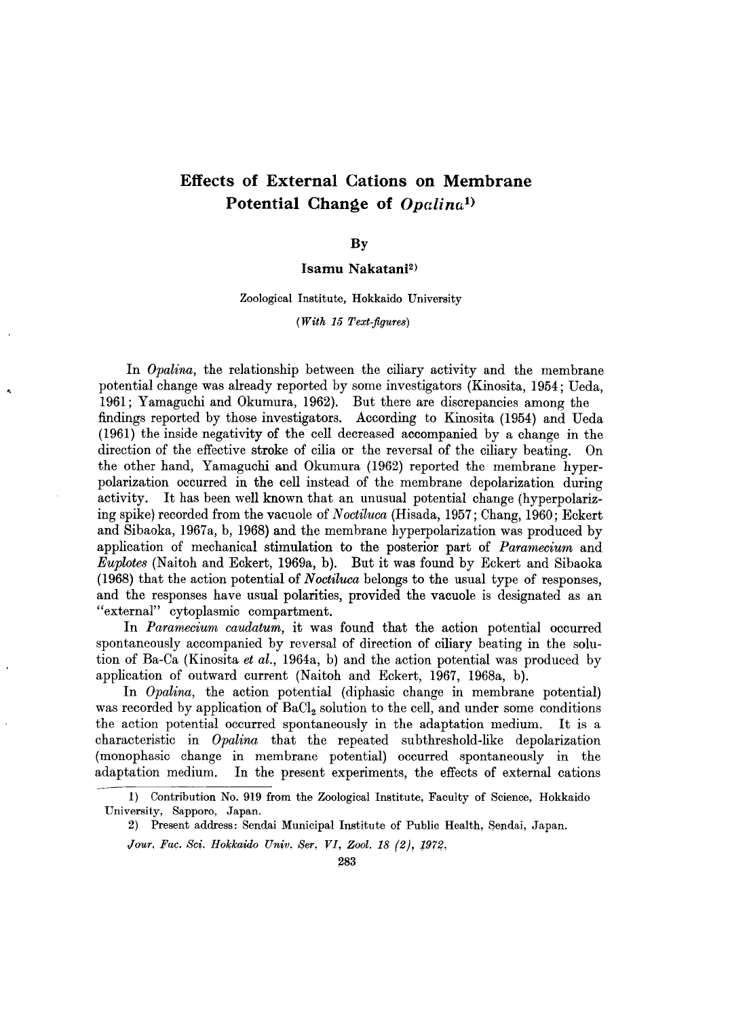# Effects of External Cations on Membrane Potential Change of  $Opalian<sup>1</sup>$

By

#### Isamu Nakatani<sup>2)</sup>

Zoological Institute, Hokkaido University

*(With* 15 *Text-figure8)* 

In *Opalina*, the relationship between the ciliary activity and the membrane potential change was already reported by some investigators (Kinosita, 1954; Ueda, 1961; Yamaguchi and Okumura, 1962). But there are discrepancies among the findings reported by those investigators. According to Kinosita (1954) and Ueda (1961) the inside negativity of the cell decreased accompanied by a change in the direction of the effective stroke of cilia or the reversal of the ciliary beating. On the other hand, Yamaguchi and Okumura (1962) reported the membrane hyperpolarization occurred in the cell instead of the membrane depolarization during activity. It has been well known that an unusual potential change (hyperpolarizing spike) recorded from the vacuole of *Noctiluca* (Hisada, 1957; Chang, 1960; Eckert and Sibaoka, 1967a, b, 1968) and the membrane hyperpolarization was produced by application of mechanical stimulation to the posterior part of *Paramecium* and *Euplotes* (Naitoh and Eckert, 1969a, b). But it was found by Eckert and Sibaoka (1968) that the action potential of *Noctiluca* belongs to the usual type of responses, and the responses have usual polarities, provided the vacuole is designated as an "external" cytoplasmic compartment.

In *Paramecium caudatum,* it was found that the action potential occurred spontaneously accompanied by reversal of direction of ciliary beating in the solution of Ba-Ca (Kinosita *et al.,* 1964a, b) and the action potential was produced by application of outward current (Naitoh and Eckert, 1967, 1968a, b).

In *Opalina,* the action potential (diphasic change in membrane potential) was recorded by application of BaCl<sub>2</sub> solution to the cell, and under some conditions the action potential occurred spontaneously in the adaptation medium. It is a characteristic in *Opalina* that the repeated subthreshold-like depolarization (monophasic change in membrane potential) occurred spontaneously in the adaptation medium. In the present experiments, the effects of external cations

I} Contribution No. 919 from the Zoological Institute, Faculty of Science, Hokkaido University, Sapporo, Japan.

<sup>2}</sup> Present address: Sendai Municipal Institute of Public Health, Sendai, Japan.

*Jour, Fac. Sci. Hokkaido Univ. Ser, VI, Zool.* 18 (2), J972,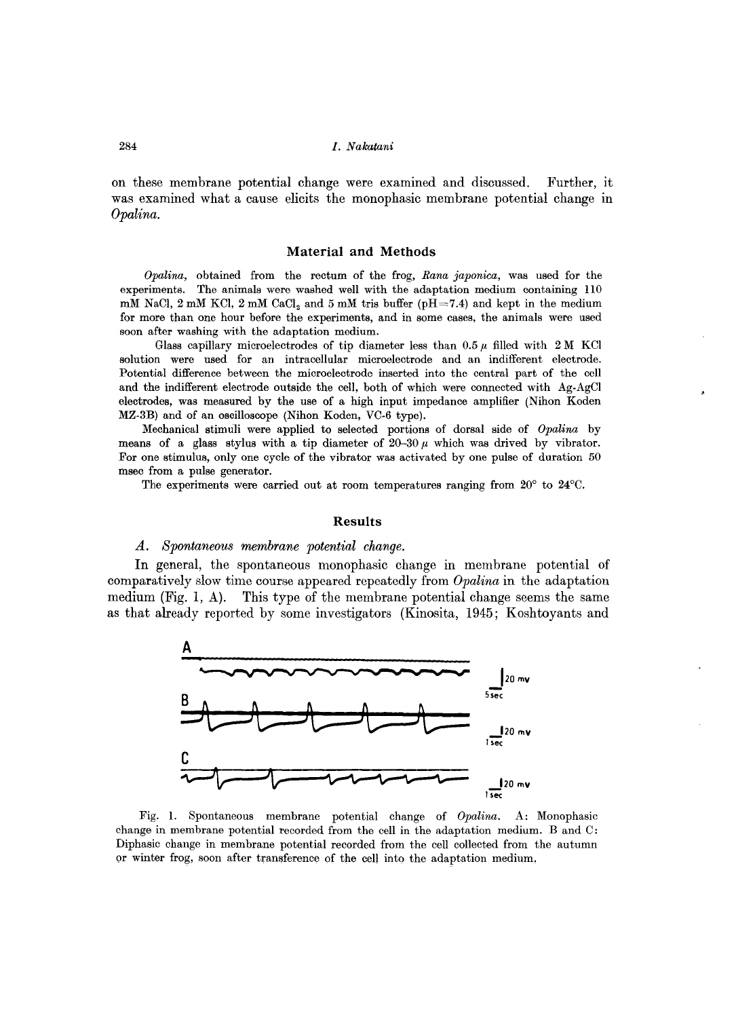on these membrane potential change were examined and discussed. Further, it was examined what a cause elicits the monophasic membrane potential change in *Opalina.* 

#### **Material and Methods**

*Opalina,* obtained from the rectum of the frog, *Rana japonica,* was used for the experiments. The animals were washed well with the adaptation medium containing lIO mM NaCl,  $2 \text{ mM KCl}$ ,  $2 \text{ mM CaCl}_2$  and  $5 \text{ mM tris buffer (pH=7.4) and kept in the medium$ for more than one hour before the experiments, and in some cases, the animals were used soon after washing with the adaptation medium.

Glass capillary microelectrodes of tip diameter less than  $0.5 \mu$  filled with 2 M KCl solution were used for an intracellular microelectrode and an indifferent electrode. Potential difference between the microelectrode inserted into the central part of the cell and the indifferent electrode outside the cell, both of which were connected with Ag-AgCl electrodes, was measured by the use of a high input impedance amplifier (Nihon Koden MZ-3B) and of an oscilloscope (Nihon Koden, VC-6 type).

Mechanical stimuli were applied to selected portions of dorsal side of *Opalina* by means of a glass stylus with a tip diameter of  $20-30 \mu$  which was drived by vibrator. For one stimulus, only one cycle of the vibrator was activated by one pulse of duration 50 msec from a pulse generator.

The experiments were carried out at room temperatures ranging from 20° to 24°C.

#### **Results**

#### *A. Spontaneous membrane potential change.*

**In** general, the spontaneous monophasic change in membrane potential of comparatively slow time course appeared repeatedly from *Opalina* in the adaptation medium (Fig. 1, A). This type of the membrane potential change seems the same as that already reported by some investigators (Kinosita, 1945; Koshtoyants and



Fig. 1. Spontaneous membrane potential change of *Opalina.* A: Monophasic change in membrane potential recorded from the cell in the adaptation medium. Band C: Diphasic change in membrane potential recorded from the cell collected from the autumn or winter frog, soon after transference of the cell into the adaptation medium.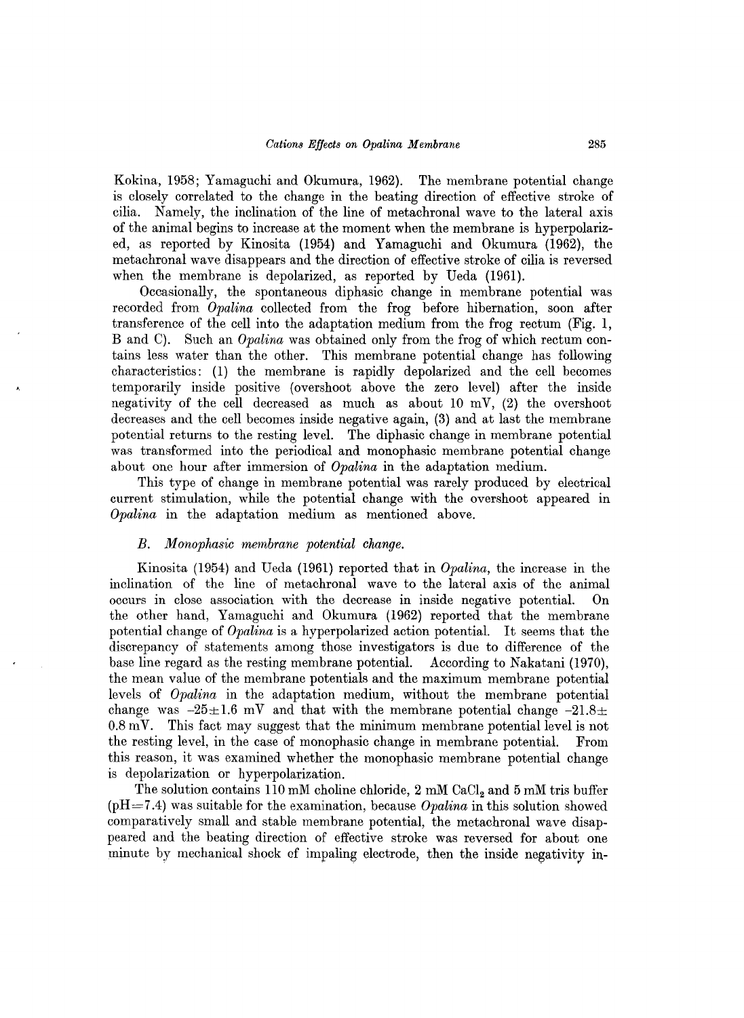Kokina, 1958; Yamaguchi and Okumura, 1962). The membrane potential change is closely correlated to the change in the beating direction of effective stroke of cilia. Namely, the inclination of the line of metachronal wave to the lateral axis of the animal begins to increase at the moment when the membrane is hyperpolarized, as reported by Kinosita (1954) and Yamaguchi and Okumura (1962), the metachronal wave disappears and the direction of effective stroke of cilia is reversed when the membrane is depolarized, as reported by Ueda (1961).

Occasionally, the spontaneous diphasic change in membrane potential was recorded from *Opalina* collected from the frog before hibernation, soon after transference of the cell into the adaptation medium from the frog rectum (Fig. 1, B and C). Such an *Opalina* was obtained only from the frog of which rectum contains less water than the other. This membrane potential change has following characteristics: (1) the membrane is rapidly depolarized and the cell becomes temporarily inside positive (overshoot above the zero level) after the inside negativity of the cell decreased as much as about  $10 \text{ mV}$ ,  $(2)$  the overshoot decreases and the cell becomes inside negative again, (3) and at last the membrane potential returns to the resting level. The diphasic change in membrane potential was transformed into the periodical and monophasic membrane potential change about one hour after immersion of *Opalina* in the adaptation medium.

This type of change in membrane potential was rarely produced by electrical current stimulation, while the potential change with the overshoot appeared in *Opalina* in the adaptation medium as mentioned above.

#### *B. Monophasic membrane potential change.*

Kinosita (1954) and Ueda (1961) reported that in *Opalina,* the increase in the inclination of the line of metachronal wave to the lateral axis of the animal occurs in close association with the decrease in inside negative potential. On the other hand, Yamaguchi and Okumura (1962) reported that the membrane potential change of *Opalina* is a hyperpolarized action potential. It seems that the discrepancy of statements among those investigators is due to difference of the base line regard as the resting membrane potential. According to Nakatani (1970), the mean value of the membrane potentials and the maximum membrane potential levels of *Opalina* in the adaptation medium, without the membrane potential change was  $-25\pm1.6$  mV and that with the membrane potential change  $-21.8\pm$  $0.8 \,\mathrm{mV}$ . This fact may suggest that the minimum membrane potential level is not the resting level, in the case of monophasic change in membrane potential. From this reason, it was examined whether the monophasic membrane potential change is depolarization or hyperpolarization.

The solution contains 110 mM choline chloride,  $2 \text{ mM } \text{CaCl}_2$  and  $5 \text{ mM } \text{tris buffer}$ (pH=7.4) was suitable for the examination, because *Opalina* in this solution showed comparatively small and stable membrane potential, the metachronal wave disappeared and the beating direction of effective stroke was reversed for about one minute by mechanical shock of impaling electrode, then the inside negativity in-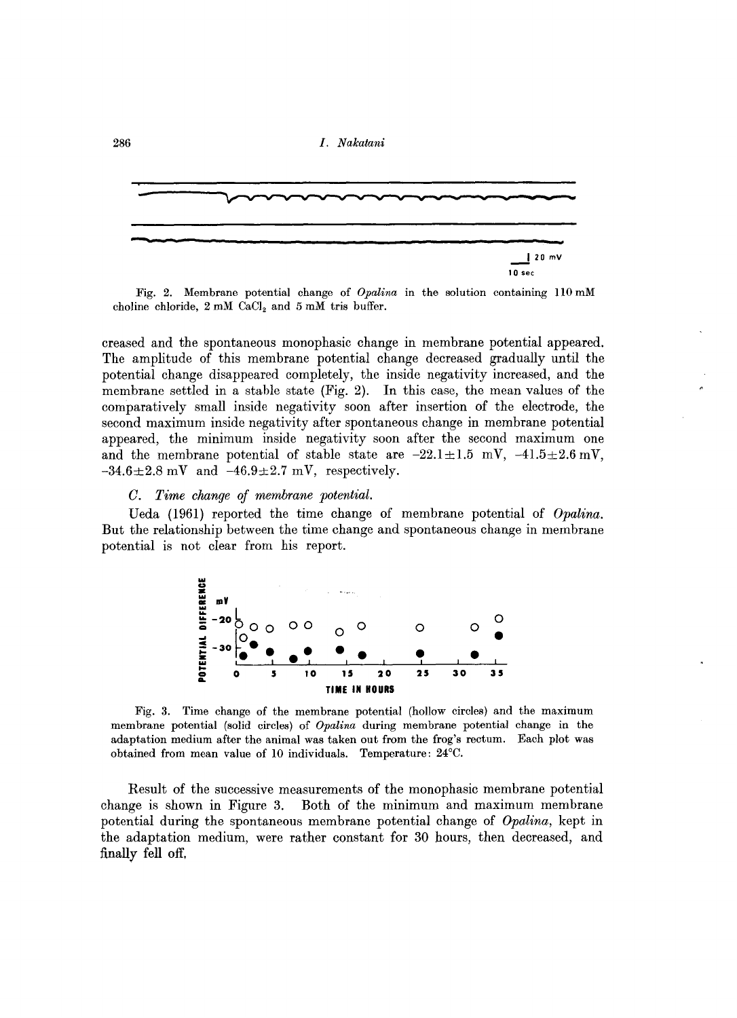

Fig. 2. Membrane potential change of *Opalina* in the solution containing 110 mM choline chloride,  $2 \text{ mM }$  CaCl<sub>2</sub> and  $5 \text{ mM }$  tris buffer.

creased and the spontaneous monophasic change in membrane potential appeared. The amplitude of this membrane potential change decreased gradually until the potential change disappeared completely, the inside negativity increased, and the membrane settled in a stable state (Fig. 2). In this case, the mean values of the comparatively small inside negativity soon after insertion of the electrode, the second maximum inside negativity after spontaneous change in membrane potential appeared, the minimum inside negativity soon after the second maximum one and the membrane potential of stable state are  $-22.1 \pm 1.5$  mV,  $-41.5 \pm 2.6$  mV,  $-34.6\pm2.8$  mV and  $-46.9\pm2.7$  mV, respectively.

#### *C. Time change of membrane potential.*

Ueda (1961) reported the time change of membrane potential of *Opalina.*  But the relationship between the time change and spontaneous change in membrane potential is not clear from his report.



Fig. 3. Time change of the membrane potential (hollow circles) and the maximum membrane potential (solid circles) of *Opalina* during membrane potential change in the adaptation medium after the animal was taken out from the frog's rectum. Each plot was obtained from mean value of 10 individuals. Temperature: 24°C.

Result of the successive measurements of the monophasic membrane potential. change is shown in Figure 3. Both of the minimum and maximum membrane potential during the spontaneous membrane potential change of *Opalina,* kept in the adaptation medium, were rather constant for 30 hours, then decreased, and finally fell off.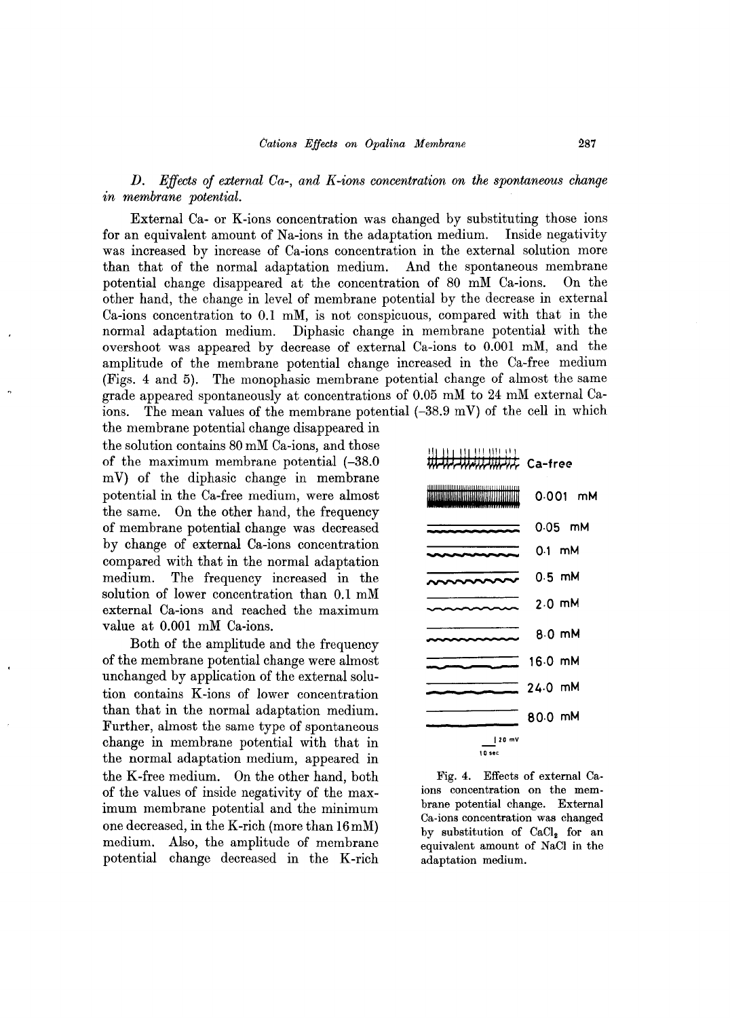*D. Effects of external Ca-, and K-ions concentration on the spontaneous change*   $in$  *membrane* potential.

External Ca- or K-ions concentration was changed by substituting those ions for an equivalent amount of Na-ions in the adaptation medium. Inside negativity was increased by increase of Ca-ions concentration in the external solution more than that of the normal adaptation medium. And the spontaneous membrane potential change disappeared at the concentration of 80 mM Ca-ions. On the other hand, the change in level of membrane potential by the decrease in external Ca-ions concentration to 0.1 mM, is not conspicuous, compared with that in the normal adaptation medium. Diphasic change in membrane potential with the overshoot was appeared by decrease of external Ca-ions to 0.001 mM, and the amplitude of the membrane potential change increased in the Ca-free medium (Figs. 4 and 5). The monophasic membrane potential change of almost the same grade appeared spontaneously at concentrations of 0.05 mM to 24 mM external Caions. The mean values of the membrane potential  $(-38.9 \text{ mV})$  of the cell in which

the membrane potential change disappeared in the solution contains 80 mM Ca-ions, and those of the maximum membrane potential (-38.0 m V) of the diphasic change in membrane potential in the Ca-free medium, were almost the same. On the other hand, the frequency of membrane potential change was decreased by change of external Ca-ions concentration compared with that in the normal adaptation medium. The frequency increased in the solution of lower concentration than 0.1 mM external Ca-ions and reached the maximum value at 0.001 mM Ca-ions.

Both of the amplitude and the frequency of the membrane potential change were almost unchanged by application of the external solution contains K-ions of lower concentration than that in the normal adaptation medium. Further, almost the same type of spontaneous change in membrane potential with that in the normal adaptation medium, appeared in the K-free medium. On the other hand, both of the values of inside negativity of the maximum membrane potential and the minimum one decreased, in the K-rich (more than 16mM) medium. Also, the amplitude of membrane potential change decreased in the K-rich

|                                         | <del>WIJI</del> Ca-free |
|-----------------------------------------|-------------------------|
| ,,,,,,,,,,,,,,,,,,,,,,,<br>UUJIILUITIIL | 0.001 mM                |
|                                         | $0.05$ mM               |
|                                         | 0.1 mM                  |
|                                         | 0.5 mM                  |
|                                         | $2.0$ mM                |
|                                         | $8.0$ mM                |
|                                         | 16.0 mM                 |
|                                         | 24.0 mM                 |
|                                         | 80.0 mM                 |
| 20 mV<br>10 sec                         |                         |

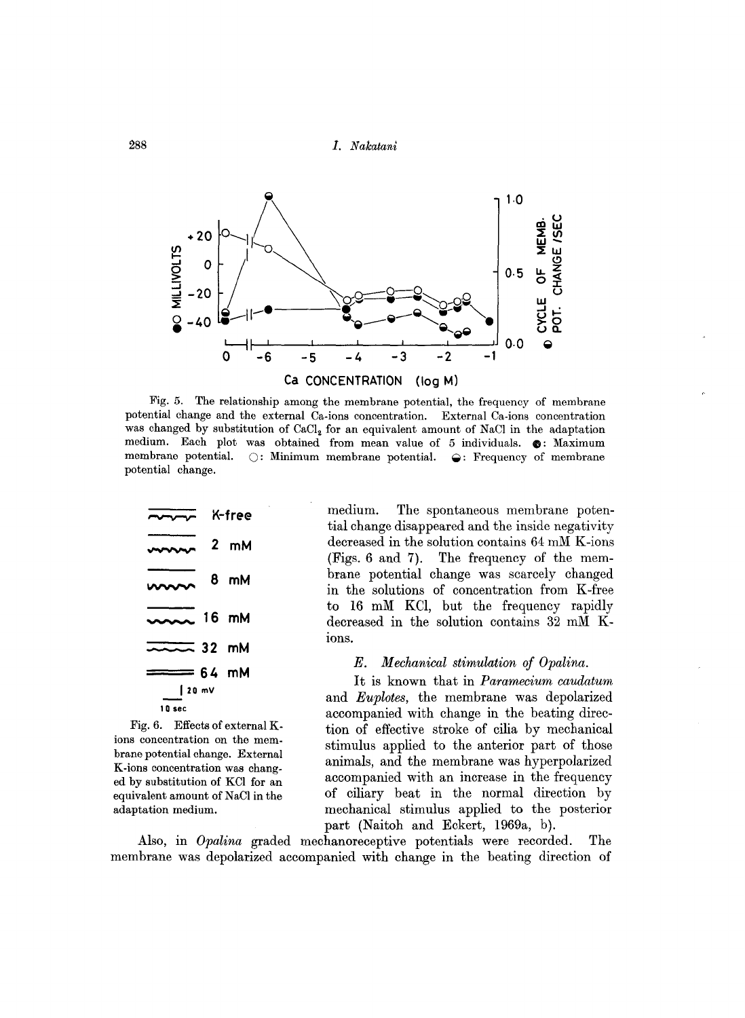

Fig. 5. The relationship among the membrane potential, the frequency of membrane potential change and the external Ca·ions concentration. External Ca-ions concentration was changed by substitution of CaCl<sub>2</sub> for an equivalent amount of NaCl in the adaptation medium. Each plot was obtained from mean value of 5 individuals.  $\bullet$ : Maximum membrane potential.  $\bigcirc$ : Minimum membrane potential.  $\bigcirc$ : Frequency of membrane potential change.



Fig. 6. Effects of external Kions concentration on the membrane potential change. External K-ions concentration was changed by substitution of KCl for an equivalent amount of NaCl in the adaptation medium.

medium. The spontaneous membrane potential change disappeared and the inside negativity decreased in the solution contains 64 mM K-ions (Figs. 6 and 7). The frequency of the membrane potential change was scarcely changed in the solutions of concentration from K-free to 16 mM KCl, but the frequency rapidly decreased in the solution contains 32 mM Kions.

#### *E. Mechanical stimulation of Opalina.*

It is known that in *Paramecium caudatum*  and *Euplotes,* the membrane was depolarized accompanied with change in the beating direction of effective stroke of cilia by mechanical stimulus applied to the anterior part of those animals, and the membrane was hyperpolarized accompanied with an increase in the frequency of ciliary beat in the normal direction by mechanical stimulus applied to the posterior part (Naitoh and Eckert, 1969a, b).

Also, in *Opalina* graded mechanoreceptive potentials were recorded. The membrane was depolarized accompanied with change in the beating direction of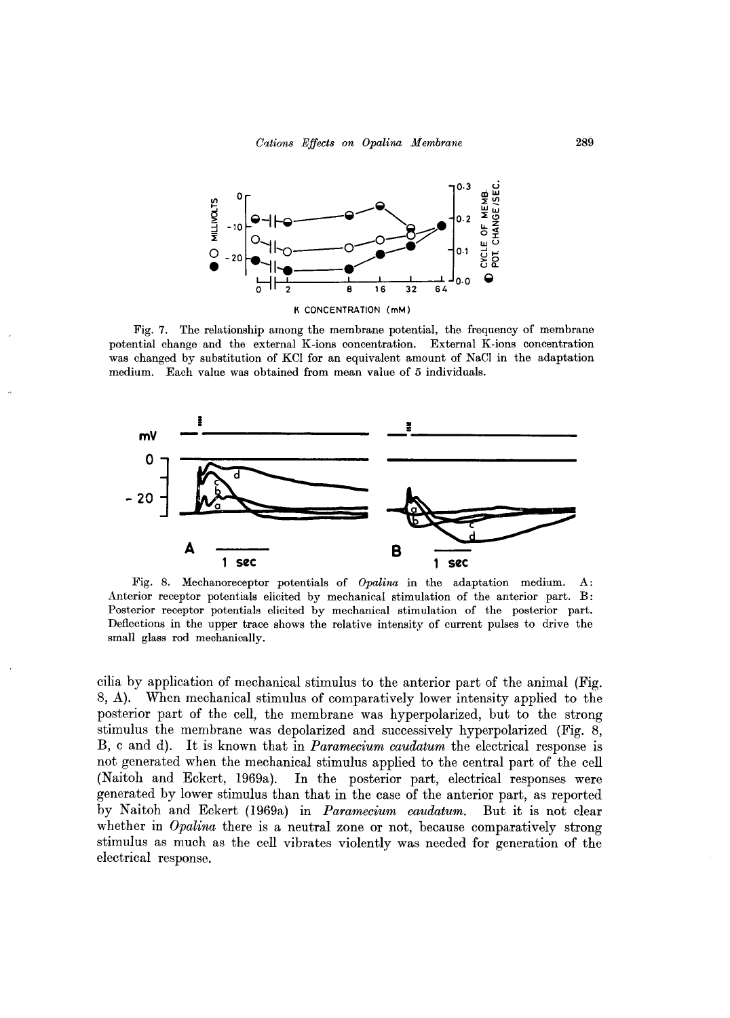

Fig. 7. The relationship among the membrane potential, the frequency of membrane potential change and the external K-ions concentration. External K-ions concentration was changed by substitution of KCl for an equivalent amount of NaCl in the adaptation medium. Each value was obtained from mean value of 5 individuals.



Fig. 8. Mechanoreceptor potentials of *Opalina* in the adaptation medium. A: Anterior receptor potentials elicited by mechanical stimulation of the anterior part. B: Posterior receptor potentials elicited by mechanical stimulation of the posterior part. Deflections in the upper trace shows the relative intensity of current pulses to drive the small glass rod mechanically.

cilia by application of mechanical stimulus to the anterior part of the animal (Fig. 8, A). When mechanical stimulus of comparatively lower intensity applied to the posterior part of the cell, the membrane was hyperpolarized, but to the strong stimulus the membrane was depolarized and successively hyperpolarized (Fig. 8, B, c and d). It is known that in *Paramecium caudatum* the electrical response is not generated when the mechanical stimulus applied to the central part of the cell (Naitoh and Eckert, 1969a). In the posterior part, electrical responses were generated by lower stimulus than that in the case of the anterior part, as reported by Naitoh and Eckert (1969a) in *Paramecium caudatum.* But it is not clear whether in *Opalina* there is a neutral zone or not, because comparatively strong stimulus as much as the cell vibrates violently was needed for generation of the electrical response.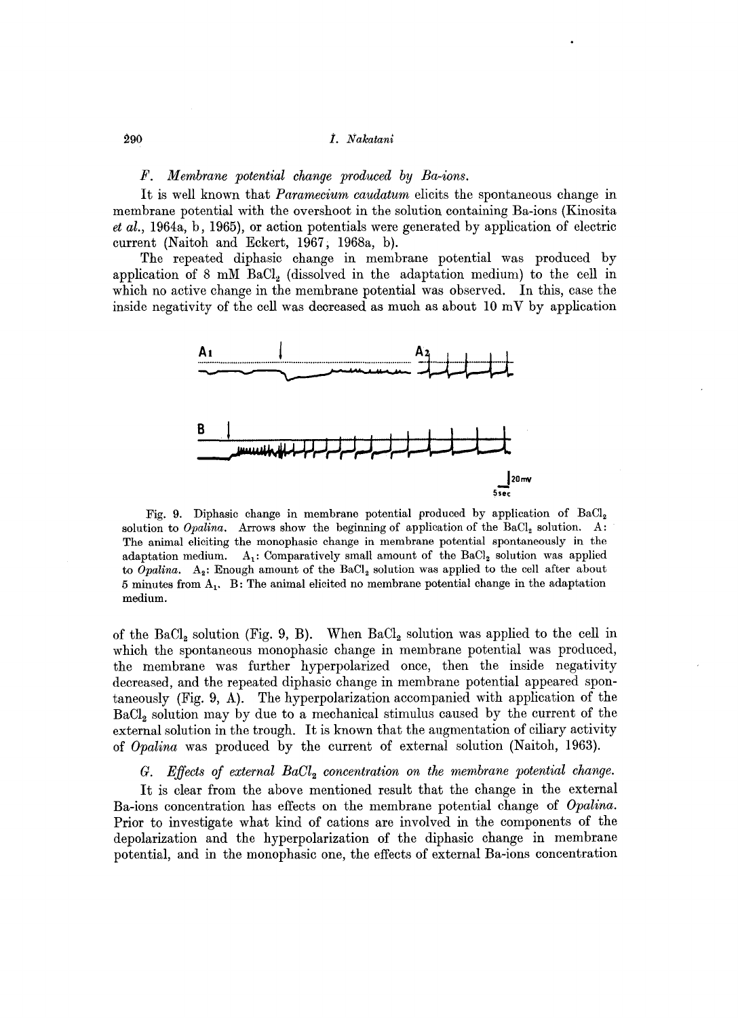#### *F. Membrane potential change produced by Ba-ions.*

It is well known that *Paramecium caudatum* elicits the spontaneous change in membrane potential with the overshoot in the solution containing Ba-ions (Kinosita *et al.,* 1964a, b, 1965), or action potentials were generated by application of electric current (Naitoh and Eckert, 1967, 1968a, b).

The repeated diphasic change in membrane potential was produced by application of 8 mM  $BaCl<sub>2</sub>$  (dissolved in the adaptation medium) to the cell in which no active change in the membrane potential was observed. **In** this, case the inside negativity of the cell was decreased as much as about  $10 \text{ mV}$  by application



Fig. 9. Diphasic change in membrane potential produced by application of BaCl<sub>2</sub> solution to *Opalina*. Arrows show the beginning of application of the BaCl<sub>2</sub> solution. A: The animal eliciting the monophasic change in membrane potential spontaneously in the adaptation medium.  $A_i$ : Comparatively small amount of the BaCl<sub>2</sub> solution was applied to *Opalina*.  $A_2$ : Enough amount of the BaCl<sub>2</sub> solution was applied to the cell after about 5 minutes from  $A_1$ . B: The animal elicited no membrane potential change in the adaptation medium.

of the  $BaCl<sub>2</sub>$  solution (Fig. 9, B). When  $BaCl<sub>2</sub>$  solution was applied to the cell in which the spontaneous monophasic change in membrane potential was produced, the membrane was further hyperpolarized once, then the inside negativity decreased, and the repeated diphasic change in membrane potential appeared spontaneously (Fig. 9, A). The hyperpolarization accompanied with application of the BaC12 solution may by due to a mechanical stimulus caused by the current of the external solution in the trough. It is known that the augmentation of ciliary activity of *Opalina* was produced by the current of external solution (Naitoh, 1963).

#### *G. Effects of external BaOl*2 *concentration on the membrane potential change.*

It is clear from the above mentioned result that the change in the external Ba-ions concentration has effects on the membrane potential change of *Opalina.*  Prior to investigate what kind of cations are involved in the components of the depolarization and the hyperpolarization of the diphasic change in membrane potential, and in the monophasic one, the effects of external Ba-ions concentration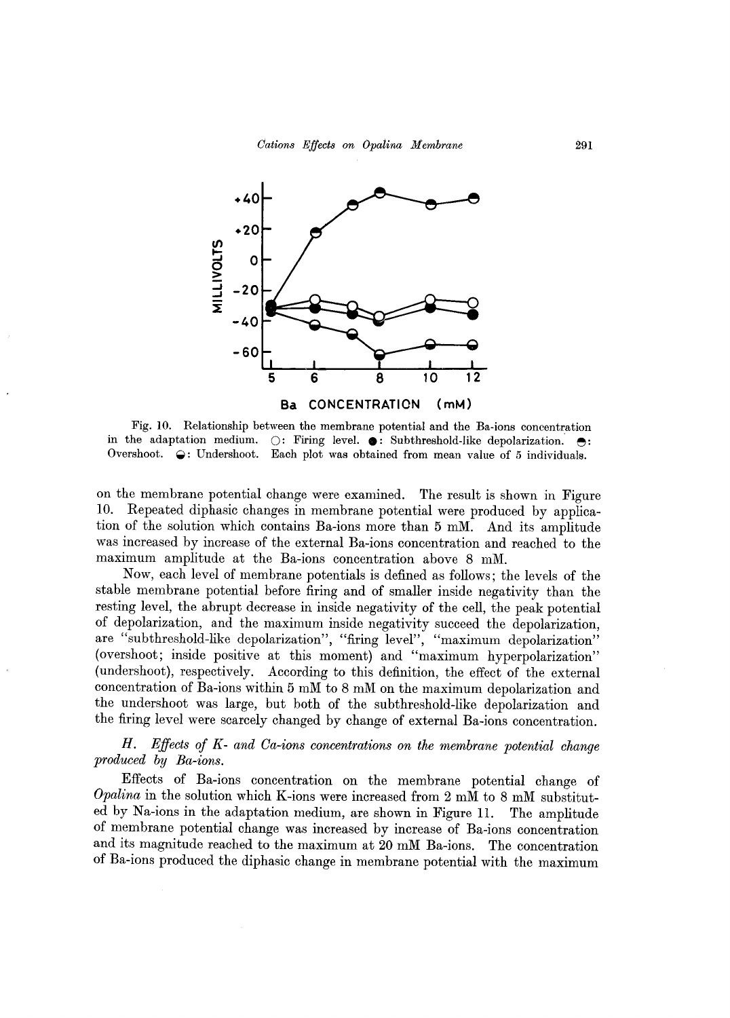

Fig. 10. Relationship between the membrane potential and the Ba-ions concentration in the adaptation medium.  $\bigcirc$ : Firing level.  $\bullet$ : Subthreshold-like depolarization.  $\bullet$ : Overshoot.  $\ominus$ : Undershoot. Each plot was obtained from mean value of 5 individuals.

on the membrane potential change were examined. The result is shown in Figure 10. Repeated diphasic changes in membrane potential were produced by application of the solution which contains Ba-ions more than 5 mM. And its amplitude was increased by increase of the external Ba-ions concentration and reached to the maximum amplitude at the Ba-ions concentration above 8 mM.

Now, each level of membrane potentials is defined as follows; the levels of the stable membrane potential before firing and of smaller inside negativity than the resting level, the abrupt decrease in inside negativity of the cell, the peak potential of depolarization, and the maximum inside negativity succeed the depolarization, are "subthreshold-like depolarization", "firing level", "maximum depolarization" (overshoot; inside positive at this moment) and "maximum hyperpolarization" (undershoot), respectively. According to this definition, the effect of the external concentration of Ba-ions within 5 mM to 8 mM on the maximum depolarization and the undershoot was large, but both of the subthreshold-like depolarization and the firing level were scarcely changed by change of external Ba-ions concentration.

## *H. Effects of K- and Ca-ions concentrations on the membrane potential change produced by Ba-ions.*

Effects of Ba-ions concentration on the membrane potential change of *Opalina* in the solution which K-ions were increased from 2 mM to 8 mM substituted by Na-ions in the adaptation medium, are shown in Figure **11.** The amplitude of membrane potential change was increased by increase of Ba-ions concentration and its magnitude reached to the maximum at 20 mM Ba-ions. The concentration of Ba-ions produced the diphasic change in membrane potential with the maximum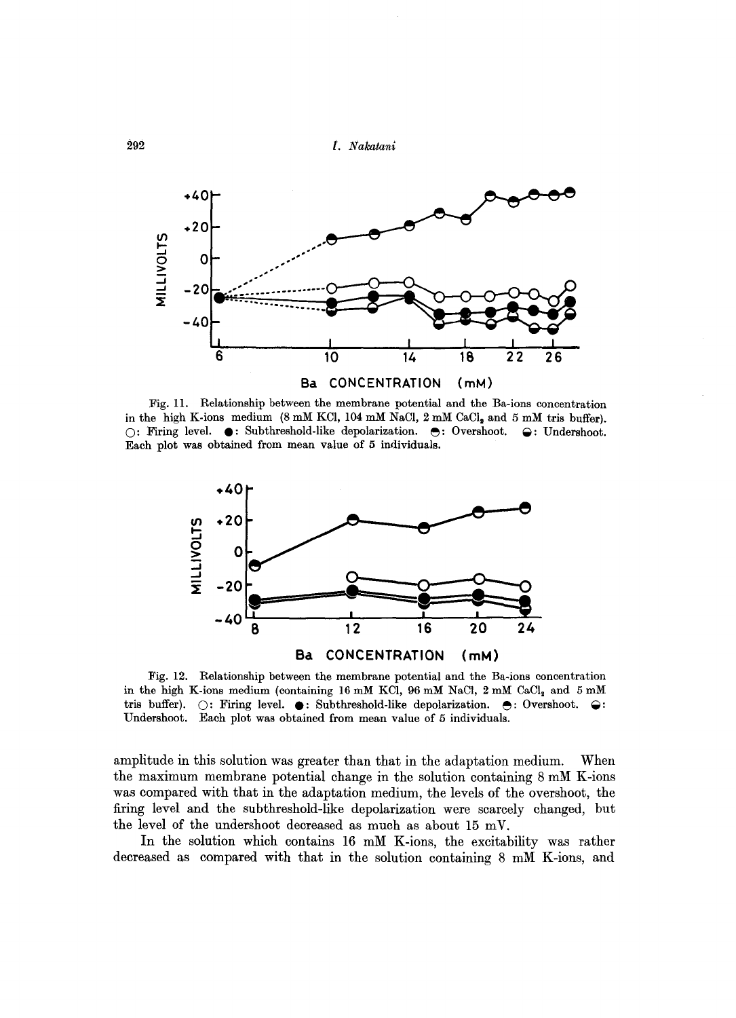

Fig. II. Relationship between the membrane potential and the Ba-ions concentration in the high K-ions medium  $(8 \text{ mM KCl}, 104 \text{ mM NaCl}, 2 \text{ mM CaCl}_3 \text{ and } 5 \text{ mM tris buffer}).$  $\cap$ : Firing level.  $\bullet$ : Subthreshold-like depolarization.  $\bullet$ : Overshoot.  $\bullet$ : Undershoot. Each plot was obtained from mean value of 5 individuals.



Fig. 12. Relationship between the membrane potential and the Ba-ions concentration in the high K-ions medium (containing 16 mM KCl, 96 mM NaCl, 2 mM CaCl, and 5 mM<br>tris buffer).  $\bigcirc$ : Firing level.  $\bullet$ : Subthreshold-like depolarization.  $\bullet$ : Overshoot.  $\ominus$ :  $\bigcirc$ : Firing level.  $\bullet$ : Subthreshold-like depolarization.  $\bullet$ : Overshoot.  $\ominus$ : Undershoot. Each plot was obtained from mean value of 5 individuals.

amplitude in this solution was greater than that in the adaptation medium. When the maximum membrane potential change in the solution containing 8 mM K-ions was compared with that in the adaptation medium, the levels of the overshoot, the firing level and the subthreshold-like depolarization were scarcely changed, but the level of the undershoot decreased as much as about 15 mV.

In the solution which contains 16 mM K-ions, the excitability was rather decreased as compared with that in the solution containing 8 mM K-ions, and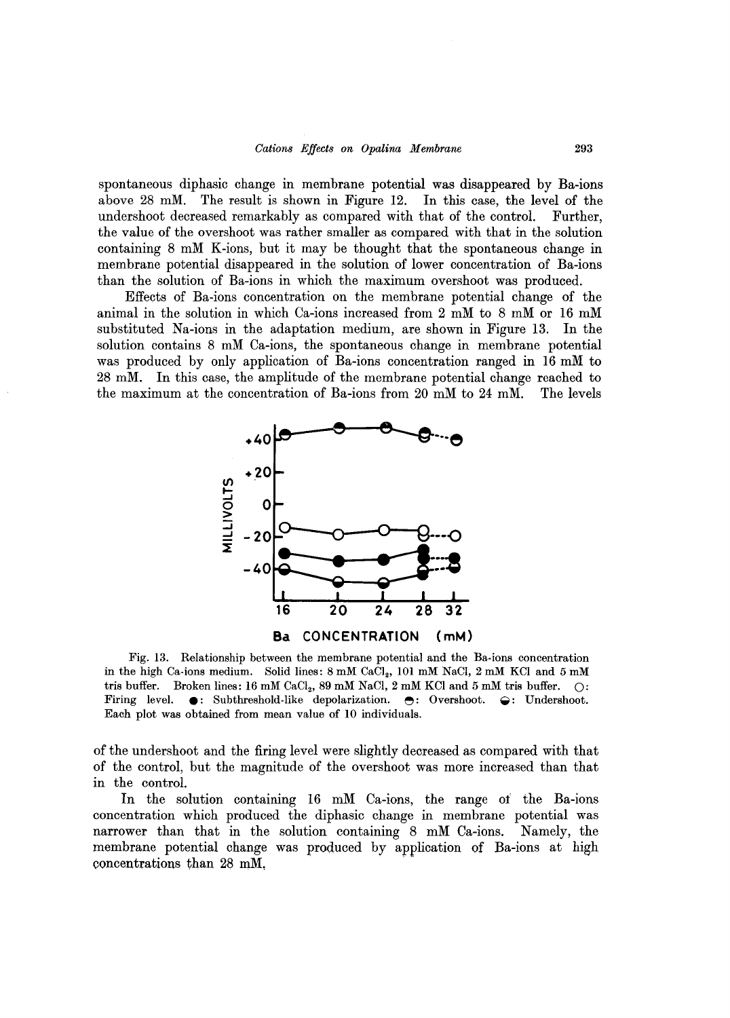spontaneous diphasic change in membrane potential was disappeared by Ba-ions above 28 mM. The result is shown in Figure 12. In this case, the level of the undershoot decreased remarkably as compared with that of the control. Further, the value of the overshoot was rather smaller as compared with that in the solution containing 8 mM K-ions, but it may be thought that the spontaneous change in membrane potential disappeared in the solution of lower concentration of Ba-ions than the solution of Ba-ions in which the maximum overshoot was produced.

Effects of Ba-ions concentration on the membrane potential change of the animal in the solution in which Ca-ions increased from 2 mM to 8 mM or 16 mM substituted Na-ions in the adaptation medium, are shown in Figure 13. In the solution contains 8 mM Ca-ions, the spontaneous change in membrane potential was produced by only application of Ba-ions concentration ranged in 16 mM to 28 mM. In this case, the amplitude of the membrane potential change reached to the maximum at the concentration of Ba-ions from 20 mM to 24 mM. The levels



Fig. 13. Relationship between the membrane potential and the Ba-ions concentration in the high Ca-ions medium. Solid lines: 8 mM CaCl<sub>2</sub>, 101 mM NaCl, 2 mM KCl and 5 mM tris buffer. Broken lines: 16 mM CaCl<sub>2</sub>, 89 mM NaCl, 2 mM KCl and 5 mM tris buffer.  $\bigcirc$ : Firing level.  $\bullet$ : Subthreshold-like depolarization.  $\bullet$ : Overshoot.  $\ominus$ : Undershoot.  $\bullet$ : Subthreshold-like depolarization.  $\bullet$ : Overshoot.  $\bullet$ : Undershoot. Each plot was obtained from mean value of 10 individuals.

of the undershoot and the firing level were slightly decreased as compared with that of the control, but the magnitude of the overshoot was more increased than that in the control.

In the solution containing 16 mM Ca-ions, the range ot the Ba-ions concentration which produced the diphasic change in membrane potential was narrower than that in the solution containing 8 mM Ca-ions. Namely, the membrane potential change was produced by application of Ba-ions at high concentrations than 28 mM,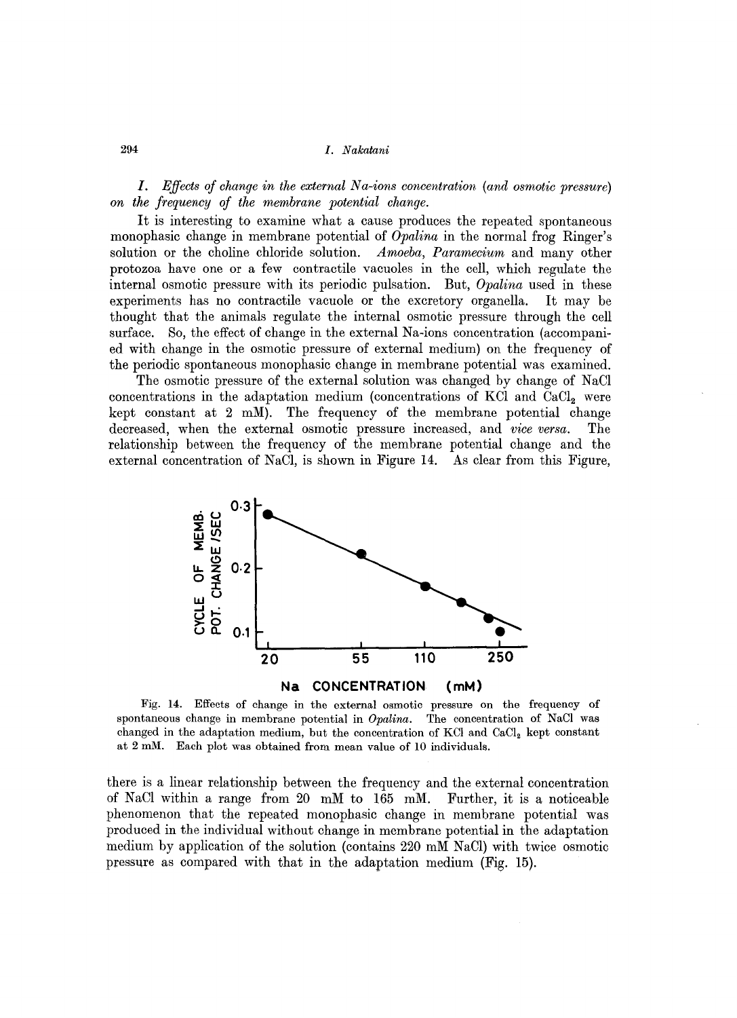1. *Effects of change in the external Na-ions concentration (and osmotic pressure) on the frequency of the membrane potential change.* 

It is interesting to examine what a cause produces the repeated spontaneous monophasic change in membrane potential of *Opalina* in the normal frog Ringer's solution or the choline chloride solution. *Amoeba, Paramecium* and many other protozoa have one or a few contractile vacuoles in the cell, which regulate the internal osmotic pressure with its periodic pulsation. But, *Opalina* used in these experiments has no contractile vacuole or the excretory organella. It may be thought that the animals regulate the internal osmotic pressure through the cell surface. So, the effect of change in the external Na-ions concentration (accompanied with change in the osmotic pressure of external medium) on the frequency of the periodic spontaneous monophasic change in membrane potential was examined.

The osmotic pressure of the external solution was changed by change of NaCl concentrations in the adaptation medium (concentrations of KCl and  $CaCl<sub>2</sub>$  were kept constant at 2 mM). The frequency of the membrane potential change decreased, when the external osmotic pressure increased, and *vice versa.* The relationship between the frequency of the membrane potential change and the external concentration of NaCl, is shown in Figure 14. As clear from this Figure,



Fig. 14. Effects of change in the external osmotic pressure on the frequency of spontaneous change in membrane potential in *Opalina.* The concentration of NaCI was changed in the adaptation medium, but the concentration of KCl and  $CaCl<sub>2</sub>$  kept constant at 2 mM. Each plot was obtained from mean value of 10 individuals.

there is a linear relationship between the frequency and the external concentration of NaCl within a range from 20 mM to 165 mM. Further, it is a noticeable phenomenon that the repeated monophasic change in membrane potential was produced in the individual without change in membrane potential in the adaptation medium by application of the solution (contains 220 mM NaCl) with twice osmotic pressure as compared with that in the adaptation medium (Fig. 15).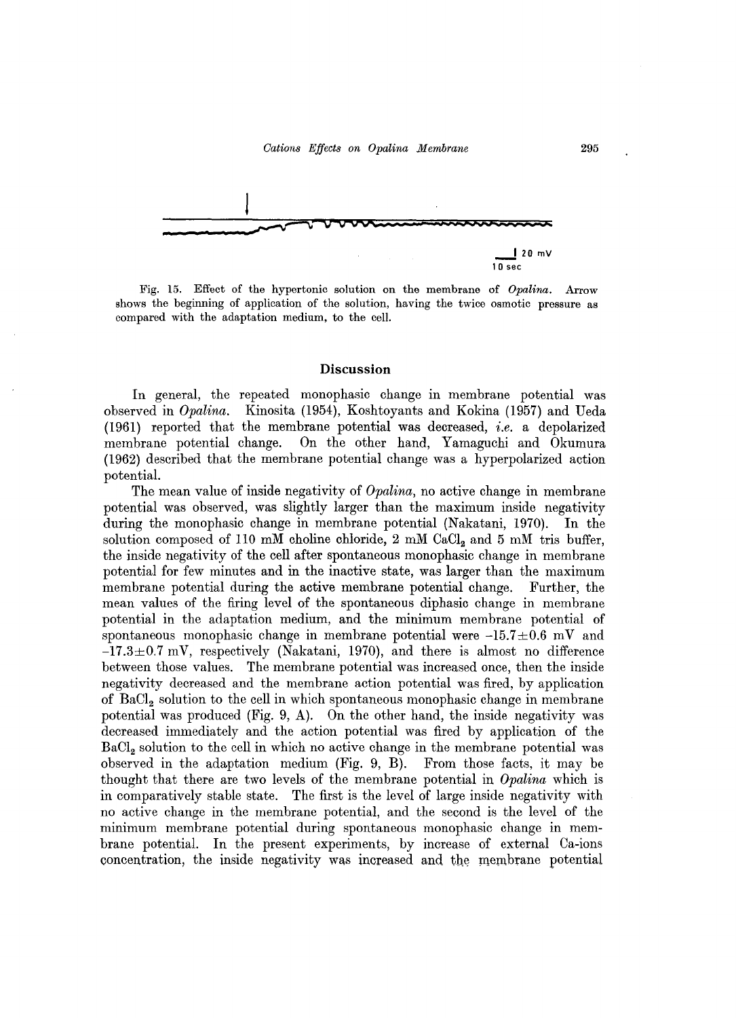

Fig. 15. Effect of the hypertonic solution on the membrane of *Opalina.* Arrow shows the beginning of application of the solution, having the twice osmotic pressure as compared with the adaptation medium, to the cell.

#### Discussion

In general, the repeated monophasic change in membrane potential was observed in *Opalina.* Kinosita (1954), Koshtoyants and Kokina (1957) and Deda (1961) reported that the membrane potential was decreased, *i.e.* a depolarized membrane potential change. On the other hand, Yamaguchi and Okumura (1962) described that the membrane potential change was a hyperpolarized action potential.

The mean value of inside negativity of *Opalina,* no active change in membrane potential was observed, was slightly larger than the maximum inside negativity during the monophasic change in membrane potential (Nakatani, 1970). In the solution composed of 110 mM choline chloride, 2 mM CaCl<sub>2</sub> and 5 mM tris buffer, the inside negativity of the cell after spontaneous monophasic change in membrane potential for few minutes and in the inactive state, was larger than the maximum membrane potential during the active membrane potential change. Further, the mean values of the firing level of the spontaneous diphasic change in membrane potential in the adaptation medium, and the minimum membrane potential of spontaneous monophasic change in membrane potential were  $-15.7 \pm 0.6$  mV and  $-17.3\pm0.7$  mV, respectively (Nakatani, 1970), and there is almost no difference between those values. The membrane potential was increased once, then the inside negativity decreased and the membrane action potential was fired, by application of BaCl<sub>2</sub> solution to the cell in which spontaneous monophasic change in membrane potential was produced (Fig. 9, A). On the other hand, the inside negativity was decreased immediately and the action potential was fired by application of the BaCl<sub>2</sub> solution to the cell in which no active change in the membrane potential was observed in the adaptation medium (Fig. 9, B). From those facts, it may be thought that there are two levels of the membrane potential in *Opalina* which is in comparatively stable state. The first is the level of large inside negativity with no active change in the membrane potential, and the second is the level of the minimum membrane potential during spontaneous monophasic change in membrane potential. In the present experiments, by increase of external Ca-ions concentration, the inside negativity was increased and the membrane potential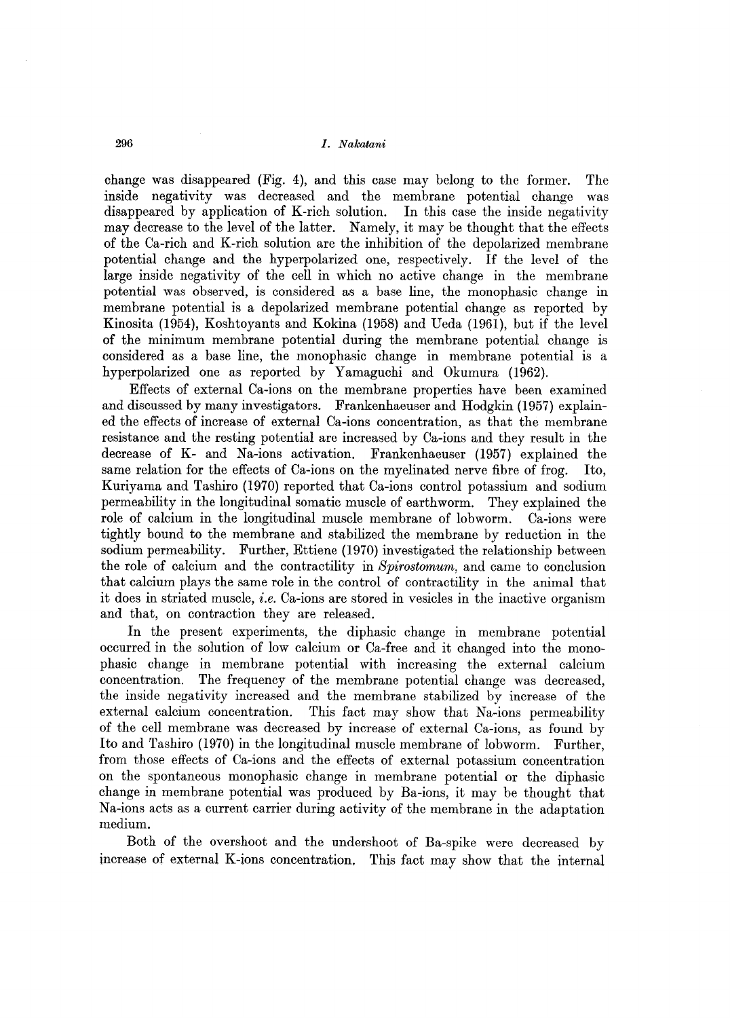change was disappeared (Fig. 4), and this case may belong to the former. The inside negativity was decreased and the membrane potential change was disappeared by application of K-rich solution. **In** this case the inside negativity may decrease to the level of the latter. Namely, it may be thought that the effects of the Ca-rich and K-rich solution are the inhibition of the depolarized membrane potential change and the hyperpolarized one, respectively. If the level of the large inside negativity of the cell in which no active change in the membrane potential was observed, is considered as a base line, the monophasic change in membrane potential is a depolarized membrane potential change as reported by Kinosita (1954), Koshtoyants and Kokina (1958) and Ueda (1961), but if the level of the minimum membrane potential during the membrane potential change is considered as a base line, the monophasic change in membrane potential is a hyperpolarized one as reported by Yamaguchi and Okumura (1962).

Effects of external Ca-ions on the membrane properties have been examined and discussed by many investigators. Frankenhaeuser and Hodgkin (1957) explained the effects of increase of external Ca-ions concentration, as that the membrane resistance and the resting potential are increased by Ca-ions and they result in the decrease of K- and Na-ions activation. Frankenhaeuser (1957) explained the same relation for the effects of Ca-ions on the myelinated nerve fibre of frog. Ito, Kuriyama and Tashiro (1970) reported that Ca-ions control potassium and sodium permeability in the longitudinal somatic muscle of earthworm. They explained the role of calcium in the longitudinal muscle membrane of lobworm. Ca-ions were tightly bound to the membrane and stabilized the membrane by reduction in the sodium permeability. Further, Ettiene (1970) investigated the relationship between the role of calcium and the contractility in *Spirostomum,* and came to conclusion that calcium plays the same role in the control of contractility in the animal that it does in striated muscle, *i.e.* Ca-ions are stored in vesicles in the inactive organism and that, on contraction they are released.

**In** the present experiments, the diphasic change in membrane potential occurred in the solution of low calcium or Ca-free and it changed into the monophasic change in membrane potential with increasing the external calcium concentration. The frequency of the membrane potential change was decreased, the inside negativity increased and the membrane stabilized by increase of the external calcium concentration. This fact may show that Na-ions permeability of the cell membrane was decreased by increase of external Ca-ions, as found by Ito and Tashiro (1970) in the longitudinal muscle membrane of lobworm. Further, from those effects of Ca-ions and the effects of external potassium concentration on the spontaneous monophasic change in membrane potential or the diphasic change in membrane potential was produced by Ba-ions, it may be thought that Na-ions acts as a current carrier during activity of the membrane in the adaptation medium.

Both of the overshoot and the undershoot of Ba-spike were decreased by increase of external K-ions concentration. This fact may show that the internal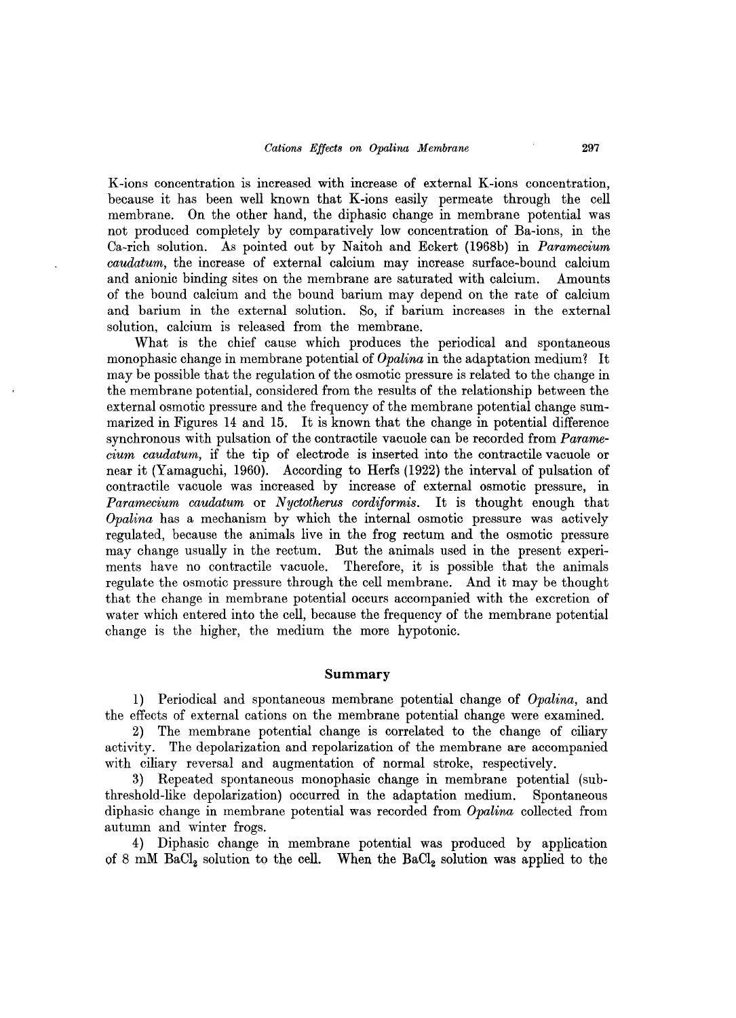K-ions concentration is increased with increase of external K-ions concentration, because it has been well known that K-ions easily permeate through the cell membrane. On the other hand, the diphasic change in membrane potential was not produced completely by comparatively low concentration of Ba-ions, in the Oa-rich solution. As pointed out by Naitoh and Eckert (1968b) in *Paramecium caudatum,* the increase of external calcium may increase surface-bound calcium and anionic binding sites on the membrane are saturated with calcium. Amounts of the bound calcium and the bound barium may depend on the rate of calcium and barium in the external solution. So, if barium increases in the external solution, calcium is released from the membrane.

What is the chief cause which produces the periodical and spontaneous monophasic change in membrane potential of *Opalina* in the adaptation medium? It may be possible that the regulation of the osmotic pressure is related to the change in the membrane potential, considered from the results of the relationship between the external osmotic pressure and the frequency of the membrane potential change summarized in Figures 14 and 15. It is known that the change in potential difference synchronous with pulsation of the contractile vacuole can be recorded from *Paramecium caudatum,* if the tip of electrode is inserted into the contractile vacuole or near it (Yamaguchi, 1960). According to Herfs (1922) the interval of pulsation of contractile vacuole was increased by increase of external osmotic pressure, in *Paramecium caudatum* or *Nyctotherus cordiformis.* It is thought enough that *Opalina* has a mechanism by which the internal osmotic pressure was actively regulated, because the animals live in the frog rectum and the osmotic pressure may change usually in the rectum. But the animals used in the present experiments have no contractile vacuole. Therefore, it is possible that the animals regulate the osmotic pressure through the cell membrane. And it may be thought that the change in membrane potential occurs accompanied with the excretion of water which entered into the cell, because the frequency of the membrane potential change is the higher, the medium the more hypotonic.

### **Summary**

1) Periodical and spontaneous membrane potential change of *Opalina,* and the effects of external cations on the membrane potential change were examined.

2) The membrane potential change is correlated to the change of ciliary activity. The depolarization and repolarization of the membrane are accompanied with ciliary reversal and augmentation of normal stroke, respectively.

3) Repeated spontaneous monophasic change in membrane potential (subthreshold-like depolarization) occurred in the adaptation medium. Spontaneous diphasic change in membrane potential was recorded from *Opalina* collected from autumn and winter frogs.

4) Diphasic change in membrane potential was produced by application of 8 mM BaCl<sub>2</sub> solution to the cell. When the BaCl<sub>2</sub> solution was applied to the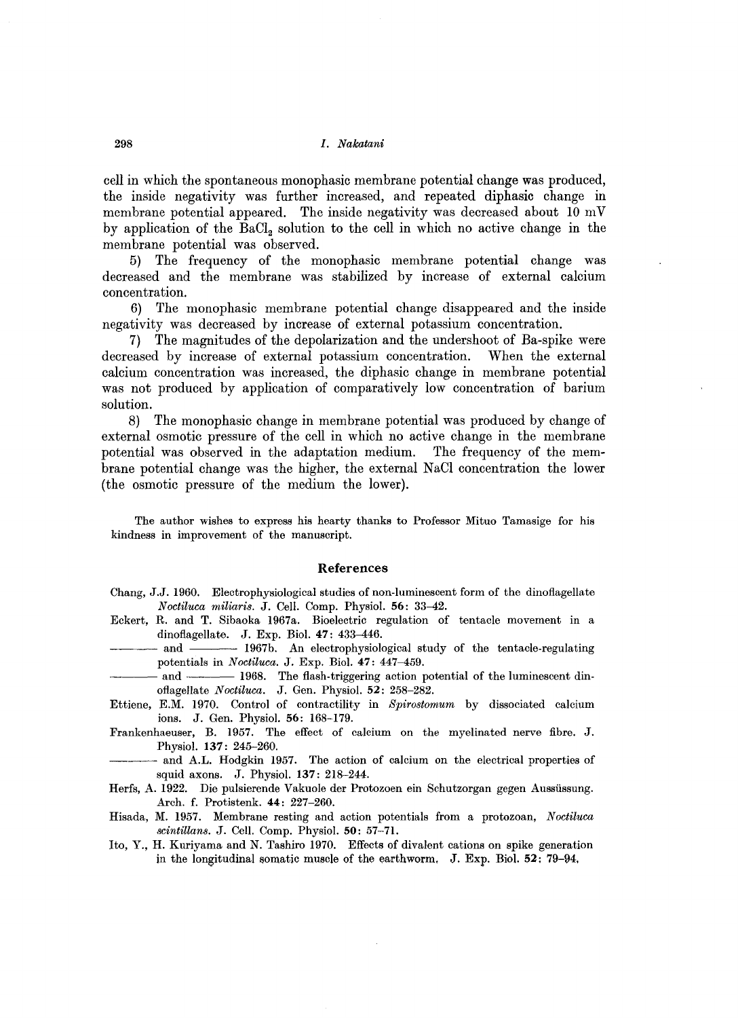cell in which the spontaneous monophasic membrane potential change was produced, the inside negativity was further increased, and repeated diphasic change in membrane potential appeared. The inside negativity was decreased about  $10 \text{ mV}$ by application of the BaCl<sub>2</sub> solution to the cell in which no active change in the membrane potential was observed.

5) The frequency of the monophasic membrane potential change was decreased and the membrane was stabilized by increase of external calcium concentration.

6) The monophasic membrane potential change disappeared and the inside negativity was decreased by increase of external potassium concentration.

7) The magnitudes of the depolarization and the undershoot of Ba-spike were decreased by increase of external potassium concentration. When the external calcium concentration was increased, the diphasic change in membrane potential was not produced by application of comparatively low concentration of barium solution.

8) The monophasic change in membrane potential was produced by change of external osmotic pressure of the cell in which no active change in the membrane potential was observed in the adaptation medium. The frequency of the membrane potential change was the higher, the external NaCl concentration the lower (the osmotic pressure of the medium the lower).

The author wishes to express his hearty thanks to Professor Mituo Tamasige for his kindness in improvement of the manuscript.

#### **References**

- Chang, J.J. 1960. Electrophysiological studies of non-luminescent form of the dinoflagellate *Noctiluca miliaris.* J. Cell. Comp. Physiol. 56: 33-42.
- Eckert, R. and T. Sibaoka 1967a. Bioelectric regulation of tentacle movement in a dinoflagellate. J. Exp. Biol.  $47: 433-446$ .
- and 1967b. An electrophysiological study of the tentacle-regulating potentials in *Noctiluca.* J. Exp. BioI. **47:** 447--459.
- and 1968. The flash-triggering action potential of the luminescent dinoflagellate *Noctiluca.* J. Gen. Physiol. 52: 258-282.
- Ettiene, E.M. 1970. Control of contractility in *Spirostomum* by dissociated calcium ions. J. Gen. Physiol. 56: 168-179.
- Frankenhaeuser, B. 1957. The effect of calcium on the myelinated nerve fibre. J. Physiol. **137:** 245-260.
- and A.L. Hodgkin 1957. The action of calcium on the electrical properties of squid axons. J. Physiol. **137:** 218-244.
- Herfs, A. 1922. Die pulsierende Vakuole der Protozoen ein Schutzorgan gegen Aussiissung. Arch. f. Protistenk. **44:** 227-260.
- Hisada, M. 1957. Membrane resting and action potentials from a protozoan, *Noctiluca scintillans.* J. Cell. Comp. Physiol. 50: 57-71.
- Ito, Y., H. Kuriyama and N. Tashiro 1970. Effects of divalent cations on spike generation in the longitudinal somatic muscle of the earthworm, J. Exp. Biol. 52: 79-94,